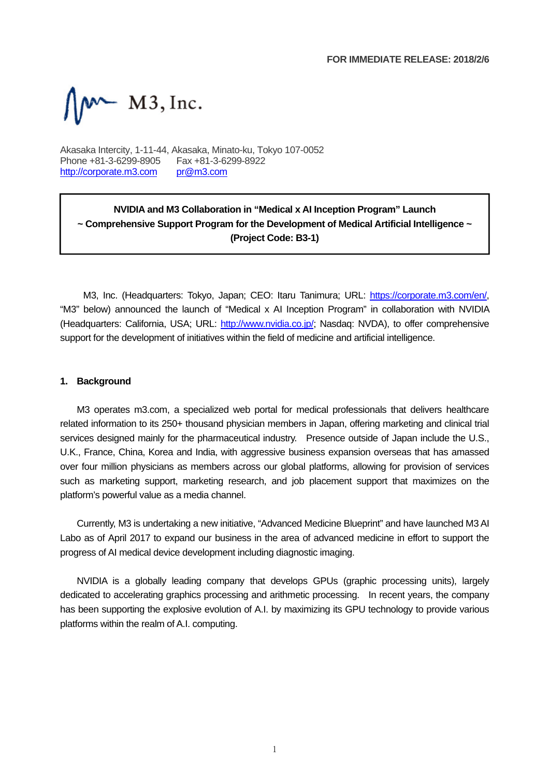$W-M3$ , Inc.

Akasaka Intercity, 1-11-44, Akasaka, Minato-ku, Tokyo 107-0052 Phone +81-3-6299-8905 Fax +81-3-6299-8922 http://corporate.m3.com pr@m3.com

## **NVIDIA and M3 Collaboration in "Medical x AI Inception Program" Launch ~ Comprehensive Support Program for the Development of Medical Artificial Intelligence ~ (Project Code: B3-1)**

M3, Inc. (Headquarters: Tokyo, Japan; CEO: Itaru Tanimura; URL: https://corporate.m3.com/en/, "M3" below) announced the launch of "Medical x AI Inception Program" in collaboration with NVIDIA (Headquarters: California, USA; URL: http://www.nvidia.co.jp/; Nasdaq: NVDA), to offer comprehensive support for the development of initiatives within the field of medicine and artificial intelligence.

## **1. Background**

M3 operates m3.com, a specialized web portal for medical professionals that delivers healthcare related information to its 250+ thousand physician members in Japan, offering marketing and clinical trial services designed mainly for the pharmaceutical industry. Presence outside of Japan include the U.S., U.K., France, China, Korea and India, with aggressive business expansion overseas that has amassed over four million physicians as members across our global platforms, allowing for provision of services such as marketing support, marketing research, and job placement support that maximizes on the platform's powerful value as a media channel.

Currently, M3 is undertaking a new initiative, "Advanced Medicine Blueprint" and have launched M3 AI Labo as of April 2017 to expand our business in the area of advanced medicine in effort to support the progress of AI medical device development including diagnostic imaging.

NVIDIA is a globally leading company that develops GPUs (graphic processing units), largely dedicated to accelerating graphics processing and arithmetic processing. In recent years, the company has been supporting the explosive evolution of A.I. by maximizing its GPU technology to provide various platforms within the realm of A.I. computing.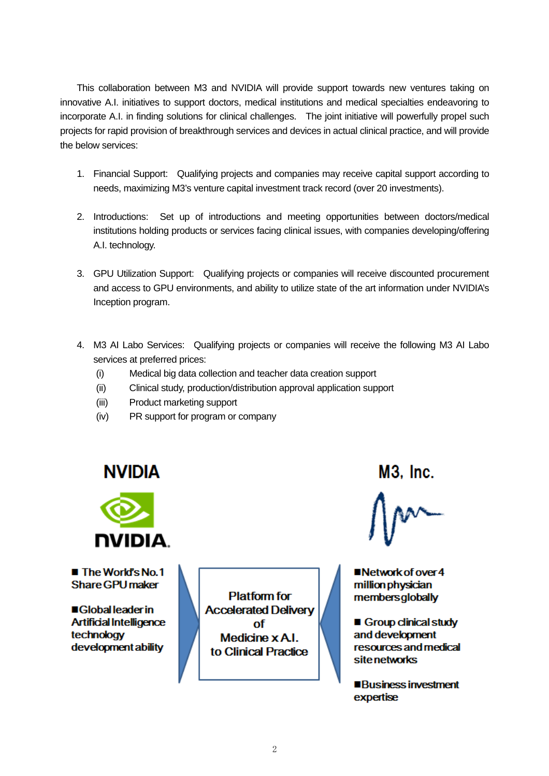This collaboration between M3 and NVIDIA will provide support towards new ventures taking on innovative A.I. initiatives to support doctors, medical institutions and medical specialties endeavoring to incorporate A.I. in finding solutions for clinical challenges. The joint initiative will powerfully propel such projects for rapid provision of breakthrough services and devices in actual clinical practice, and will provide the below services:

- 1. Financial Support: Qualifying projects and companies may receive capital support according to needs, maximizing M3's venture capital investment track record (over 20 investments).
- 2. Introductions: Set up of introductions and meeting opportunities between doctors/medical institutions holding products or services facing clinical issues, with companies developing/offering A.I. technology.
- 3. GPU Utilization Support: Qualifying projects or companies will receive discounted procurement and access to GPU environments, and ability to utilize state of the art information under NVIDIA's Inception program.
- 4. M3 AI Labo Services: Qualifying projects or companies will receive the following M3 AI Labo services at preferred prices:
	- (i) Medical big data collection and teacher data creation support
	- (ii) Clinical study, production/distribution approval application support
	- (iii) Product marketing support
	- (iv) PR support for program or company



■ The World's No.1 **Share GPU maker** 

■Global leader in **Artificial Intelligence** technology development ability

**Platform for Accelerated Deliverv** nf Medicine x A.I. to Clinical Practice

M3. Inc.

■Network of over 4 million physician membersglobally

Group clinical study and development resources and medical site networks

■Business investment expertise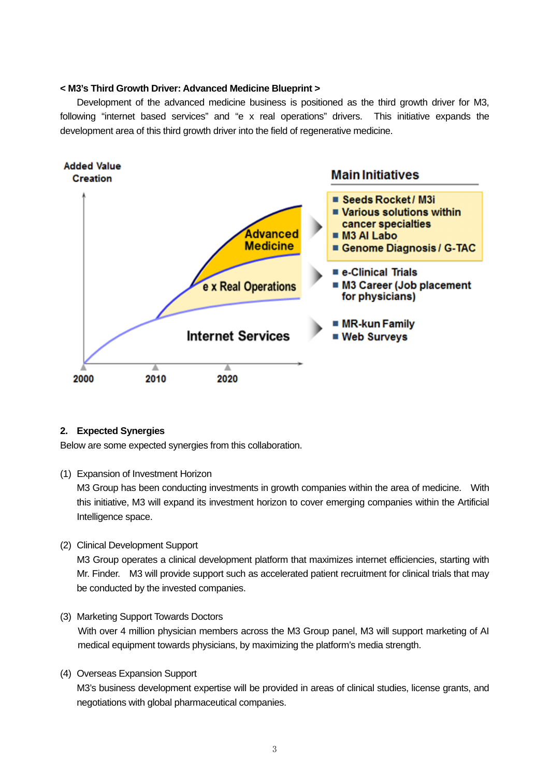## **< M3's Third Growth Driver: Advanced Medicine Blueprint >**

Development of the advanced medicine business is positioned as the third growth driver for M3, following "internet based services" and "e x real operations" drivers. This initiative expands the development area of this third growth driver into the field of regenerative medicine.



## **2. Expected Synergies**

Below are some expected synergies from this collaboration.

(1) Expansion of Investment Horizon

M3 Group has been conducting investments in growth companies within the area of medicine. With this initiative, M3 will expand its investment horizon to cover emerging companies within the Artificial Intelligence space.

(2) Clinical Development Support

M3 Group operates a clinical development platform that maximizes internet efficiencies, starting with Mr. Finder. M3 will provide support such as accelerated patient recruitment for clinical trials that may be conducted by the invested companies.

(3) Marketing Support Towards Doctors

With over 4 million physician members across the M3 Group panel, M3 will support marketing of AI medical equipment towards physicians, by maximizing the platform's media strength.

(4) Overseas Expansion Support

M3's business development expertise will be provided in areas of clinical studies, license grants, and negotiations with global pharmaceutical companies.